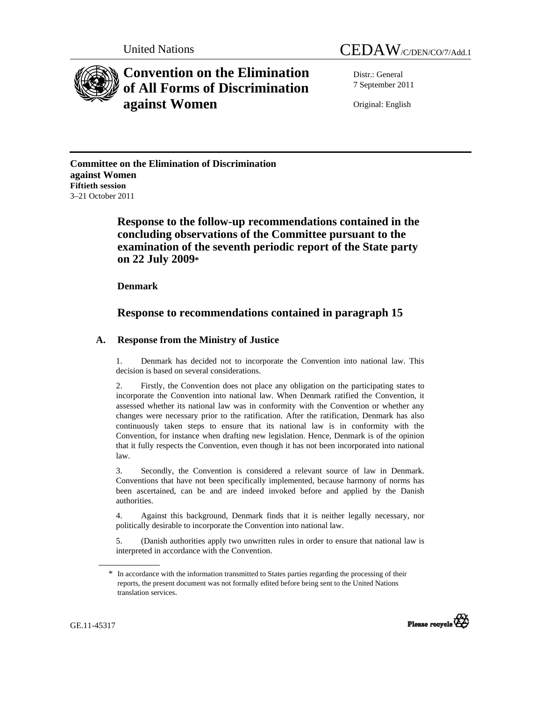



# **Convention on the Elimination of All Forms of Discrimination against Women**

Distr.: General 7 September 2011

Original: English

**Committee on the Elimination of Discrimination against Women Fiftieth session**  3–21 October 2011

> **Response to the follow-up recommendations contained in the concluding observations of the Committee pursuant to the examination of the seventh periodic report of the State party on 22 July 2009\***

 **Denmark** 

# **Response to recommendations contained in paragraph 15**

# **A. Response from the Ministry of Justice**

1. Denmark has decided not to incorporate the Convention into national law. This decision is based on several considerations.

Firstly, the Convention does not place any obligation on the participating states to incorporate the Convention into national law. When Denmark ratified the Convention, it assessed whether its national law was in conformity with the Convention or whether any changes were necessary prior to the ratification. After the ratification, Denmark has also continuously taken steps to ensure that its national law is in conformity with the Convention, for instance when drafting new legislation. Hence, Denmark is of the opinion that it fully respects the Convention, even though it has not been incorporated into national law.

3. Secondly, the Convention is considered a relevant source of law in Denmark. Conventions that have not been specifically implemented, because harmony of norms has been ascertained, can be and are indeed invoked before and applied by the Danish authorities.

4. Against this background, Denmark finds that it is neither legally necessary, nor politically desirable to incorporate the Convention into national law.

5. (Danish authorities apply two unwritten rules in order to ensure that national law is interpreted in accordance with the Convention.

<sup>\*</sup> In accordance with the information transmitted to States parties regarding the processing of their reports, the present document was not formally edited before being sent to the United Nations translation services.

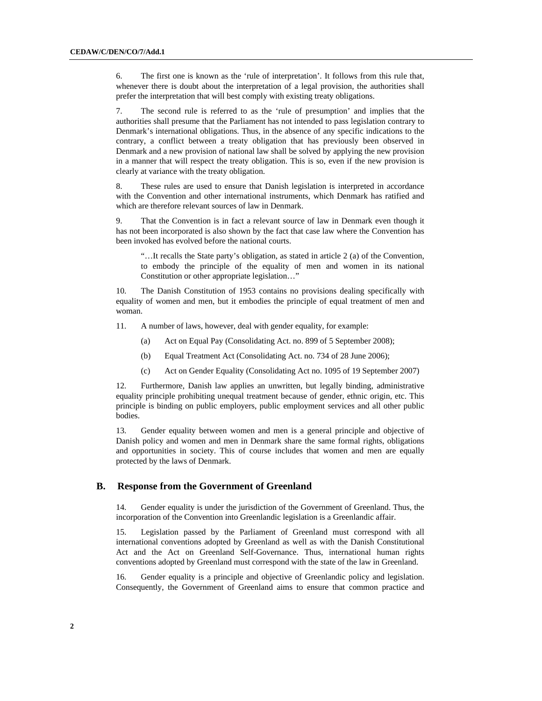6. The first one is known as the 'rule of interpretation'. It follows from this rule that, whenever there is doubt about the interpretation of a legal provision, the authorities shall prefer the interpretation that will best comply with existing treaty obligations.

7. The second rule is referred to as the 'rule of presumption' and implies that the authorities shall presume that the Parliament has not intended to pass legislation contrary to Denmark's international obligations. Thus, in the absence of any specific indications to the contrary, a conflict between a treaty obligation that has previously been observed in Denmark and a new provision of national law shall be solved by applying the new provision in a manner that will respect the treaty obligation. This is so, even if the new provision is clearly at variance with the treaty obligation.

8. These rules are used to ensure that Danish legislation is interpreted in accordance with the Convention and other international instruments, which Denmark has ratified and which are therefore relevant sources of law in Denmark.

9. That the Convention is in fact a relevant source of law in Denmark even though it has not been incorporated is also shown by the fact that case law where the Convention has been invoked has evolved before the national courts.

"…It recalls the State party's obligation, as stated in article 2 (a) of the Convention, to embody the principle of the equality of men and women in its national Constitution or other appropriate legislation…"

10. The Danish Constitution of 1953 contains no provisions dealing specifically with equality of women and men, but it embodies the principle of equal treatment of men and woman.

11. A number of laws, however, deal with gender equality, for example:

- (a) Act on Equal Pay (Consolidating Act. no. 899 of 5 September 2008);
- (b) Equal Treatment Act (Consolidating Act. no. 734 of 28 June 2006);
- (c) Act on Gender Equality (Consolidating Act no. 1095 of 19 September 2007)

12. Furthermore, Danish law applies an unwritten, but legally binding, administrative equality principle prohibiting unequal treatment because of gender, ethnic origin, etc. This principle is binding on public employers, public employment services and all other public bodies.

13. Gender equality between women and men is a general principle and objective of Danish policy and women and men in Denmark share the same formal rights, obligations and opportunities in society. This of course includes that women and men are equally protected by the laws of Denmark.

# **B. Response from the Government of Greenland**

14. Gender equality is under the jurisdiction of the Government of Greenland. Thus, the incorporation of the Convention into Greenlandic legislation is a Greenlandic affair.

15. Legislation passed by the Parliament of Greenland must correspond with all international conventions adopted by Greenland as well as with the Danish Constitutional Act and the Act on Greenland Self-Governance. Thus, international human rights conventions adopted by Greenland must correspond with the state of the law in Greenland.

16. Gender equality is a principle and objective of Greenlandic policy and legislation. Consequently, the Government of Greenland aims to ensure that common practice and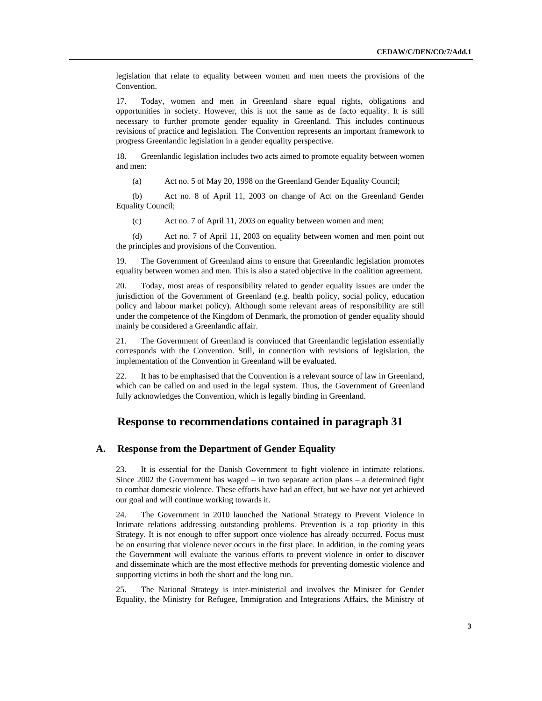legislation that relate to equality between women and men meets the provisions of the Convention.

17. Today, women and men in Greenland share equal rights, obligations and opportunities in society. However, this is not the same as de facto equality. It is still necessary to further promote gender equality in Greenland. This includes continuous revisions of practice and legislation. The Convention represents an important framework to progress Greenlandic legislation in a gender equality perspective.

18. Greenlandic legislation includes two acts aimed to promote equality between women and men:

(a) Act no. 5 of May 20, 1998 on the Greenland Gender Equality Council;

(b) Act no. 8 of April 11, 2003 on change of Act on the Greenland Gender Equality Council;

(c) Act no. 7 of April 11, 2003 on equality between women and men;

(d) Act no. 7 of April 11, 2003 on equality between women and men point out the principles and provisions of the Convention.

19. The Government of Greenland aims to ensure that Greenlandic legislation promotes equality between women and men. This is also a stated objective in the coalition agreement.

20. Today, most areas of responsibility related to gender equality issues are under the jurisdiction of the Government of Greenland (e.g. health policy, social policy, education policy and labour market policy). Although some relevant areas of responsibility are still under the competence of the Kingdom of Denmark, the promotion of gender equality should mainly be considered a Greenlandic affair.

21. The Government of Greenland is convinced that Greenlandic legislation essentially corresponds with the Convention. Still, in connection with revisions of legislation, the implementation of the Convention in Greenland will be evaluated.

22. It has to be emphasised that the Convention is a relevant source of law in Greenland, which can be called on and used in the legal system. Thus, the Government of Greenland fully acknowledges the Convention, which is legally binding in Greenland.

# **Response to recommendations contained in paragraph 31**

# **A. Response from the Department of Gender Equality**

23. It is essential for the Danish Government to fight violence in intimate relations. Since 2002 the Government has waged – in two separate action plans – a determined fight to combat domestic violence. These efforts have had an effect, but we have not yet achieved our goal and will continue working towards it.

24. The Government in 2010 launched the National Strategy to Prevent Violence in Intimate relations addressing outstanding problems. Prevention is a top priority in this Strategy. It is not enough to offer support once violence has already occurred. Focus must be on ensuring that violence never occurs in the first place. In addition, in the coming years the Government will evaluate the various efforts to prevent violence in order to discover and disseminate which are the most effective methods for preventing domestic violence and supporting victims in both the short and the long run.

25. The National Strategy is inter-ministerial and involves the Minister for Gender Equality, the Ministry for Refugee, Immigration and Integrations Affairs, the Ministry of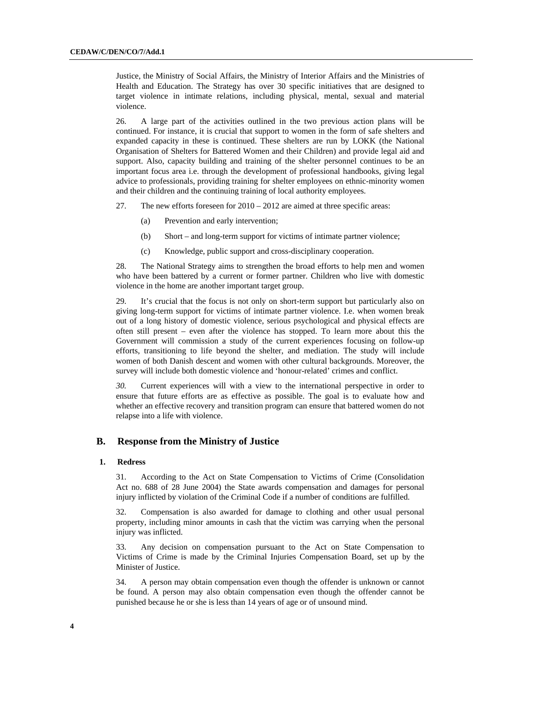Justice, the Ministry of Social Affairs, the Ministry of Interior Affairs and the Ministries of Health and Education. The Strategy has over 30 specific initiatives that are designed to target violence in intimate relations, including physical, mental, sexual and material violence.

26. A large part of the activities outlined in the two previous action plans will be continued. For instance, it is crucial that support to women in the form of safe shelters and expanded capacity in these is continued. These shelters are run by LOKK (the National Organisation of Shelters for Battered Women and their Children) and provide legal aid and support. Also, capacity building and training of the shelter personnel continues to be an important focus area i.e. through the development of professional handbooks, giving legal advice to professionals, providing training for shelter employees on ethnic-minority women and their children and the continuing training of local authority employees.

27. The new efforts foreseen for 2010 – 2012 are aimed at three specific areas:

- (a) Prevention and early intervention;
- (b) Short and long-term support for victims of intimate partner violence;
- (c) Knowledge, public support and cross-disciplinary cooperation.

28. The National Strategy aims to strengthen the broad efforts to help men and women who have been battered by a current or former partner. Children who live with domestic violence in the home are another important target group.

29. It's crucial that the focus is not only on short-term support but particularly also on giving long-term support for victims of intimate partner violence. I.e. when women break out of a long history of domestic violence, serious psychological and physical effects are often still present – even after the violence has stopped. To learn more about this the Government will commission a study of the current experiences focusing on follow-up efforts, transitioning to life beyond the shelter, and mediation. The study will include women of both Danish descent and women with other cultural backgrounds. Moreover, the survey will include both domestic violence and 'honour-related' crimes and conflict.

*30.* Current experiences will with a view to the international perspective in order to ensure that future efforts are as effective as possible. The goal is to evaluate how and whether an effective recovery and transition program can ensure that battered women do not relapse into a life with violence.

#### **B. Response from the Ministry of Justice**

#### **1. Redress**

31. According to the Act on State Compensation to Victims of Crime (Consolidation Act no. 688 of 28 June 2004) the State awards compensation and damages for personal injury inflicted by violation of the Criminal Code if a number of conditions are fulfilled.

32. Compensation is also awarded for damage to clothing and other usual personal property, including minor amounts in cash that the victim was carrying when the personal injury was inflicted.

33. Any decision on compensation pursuant to the Act on State Compensation to Victims of Crime is made by the Criminal Injuries Compensation Board, set up by the Minister of Justice.

34. A person may obtain compensation even though the offender is unknown or cannot be found. A person may also obtain compensation even though the offender cannot be punished because he or she is less than 14 years of age or of unsound mind.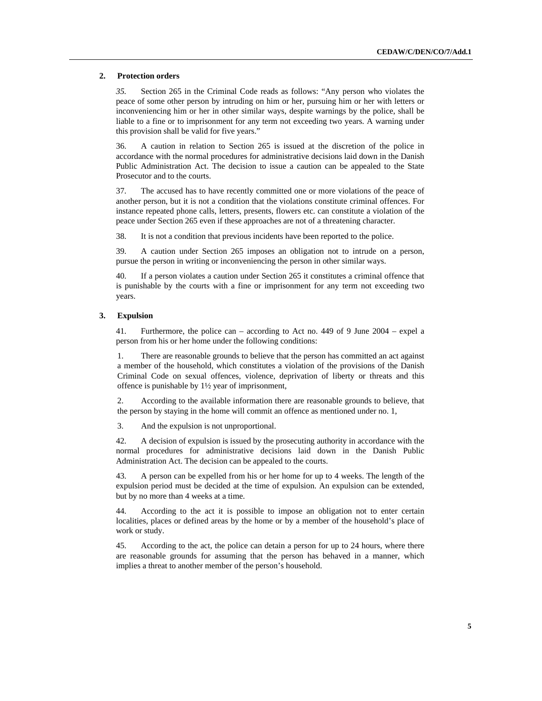#### **2. Protection orders**

*35.* Section 265 in the Criminal Code reads as follows: "Any person who violates the peace of some other person by intruding on him or her, pursuing him or her with letters or inconveniencing him or her in other similar ways, despite warnings by the police, shall be liable to a fine or to imprisonment for any term not exceeding two years. A warning under this provision shall be valid for five years."

36. A caution in relation to Section 265 is issued at the discretion of the police in accordance with the normal procedures for administrative decisions laid down in the Danish Public Administration Act. The decision to issue a caution can be appealed to the State Prosecutor and to the courts.

37. The accused has to have recently committed one or more violations of the peace of another person, but it is not a condition that the violations constitute criminal offences. For instance repeated phone calls, letters, presents, flowers etc. can constitute a violation of the peace under Section 265 even if these approaches are not of a threatening character.

38. It is not a condition that previous incidents have been reported to the police.

39. A caution under Section 265 imposes an obligation not to intrude on a person, pursue the person in writing or inconveniencing the person in other similar ways.

40. If a person violates a caution under Section 265 it constitutes a criminal offence that is punishable by the courts with a fine or imprisonment for any term not exceeding two years.

#### **3. Expulsion**

41. Furthermore, the police can – according to Act no. 449 of 9 June 2004 – expel a person from his or her home under the following conditions:

1. There are reasonable grounds to believe that the person has committed an act against a member of the household, which constitutes a violation of the provisions of the Danish Criminal Code on sexual offences, violence, deprivation of liberty or threats and this offence is punishable by 1½ year of imprisonment,

2. According to the available information there are reasonable grounds to believe, that the person by staying in the home will commit an offence as mentioned under no. 1,

3. And the expulsion is not unproportional.

42. A decision of expulsion is issued by the prosecuting authority in accordance with the normal procedures for administrative decisions laid down in the Danish Public Administration Act. The decision can be appealed to the courts.

43. A person can be expelled from his or her home for up to 4 weeks. The length of the expulsion period must be decided at the time of expulsion. An expulsion can be extended, but by no more than 4 weeks at a time.

44. According to the act it is possible to impose an obligation not to enter certain localities, places or defined areas by the home or by a member of the household's place of work or study.

45. According to the act, the police can detain a person for up to 24 hours, where there are reasonable grounds for assuming that the person has behaved in a manner, which implies a threat to another member of the person's household.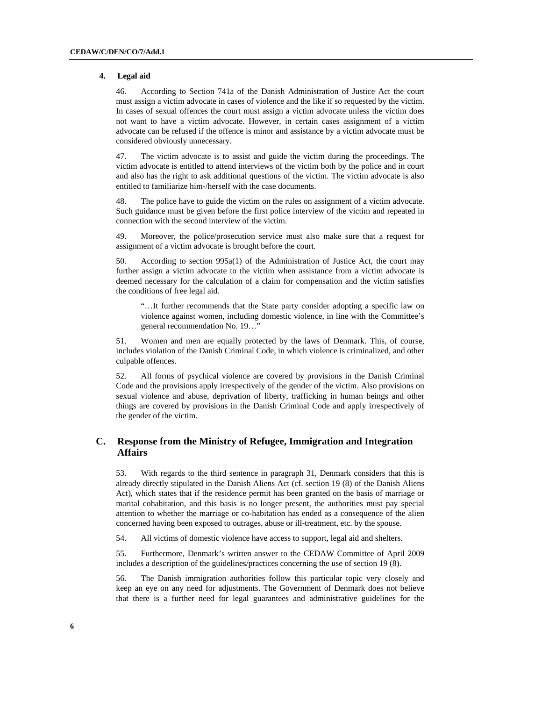#### **4. Legal aid**

46. According to Section 741a of the Danish Administration of Justice Act the court must assign a victim advocate in cases of violence and the like if so requested by the victim. In cases of sexual offences the court must assign a victim advocate unless the victim does not want to have a victim advocate. However, in certain cases assignment of a victim advocate can be refused if the offence is minor and assistance by a victim advocate must be considered obviously unnecessary.

47. The victim advocate is to assist and guide the victim during the proceedings. The victim advocate is entitled to attend interviews of the victim both by the police and in court and also has the right to ask additional questions of the victim. The victim advocate is also entitled to familiarize him-/herself with the case documents.

48. The police have to guide the victim on the rules on assignment of a victim advocate. Such guidance must be given before the first police interview of the victim and repeated in connection with the second interview of the victim.

49. Moreover, the police/prosecution service must also make sure that a request for assignment of a victim advocate is brought before the court.

50. According to section 995a(1) of the Administration of Justice Act, the court may further assign a victim advocate to the victim when assistance from a victim advocate is deemed necessary for the calculation of a claim for compensation and the victim satisfies the conditions of free legal aid.

"…It further recommends that the State party consider adopting a specific law on violence against women, including domestic violence, in line with the Committee's general recommendation No. 19…"

51. Women and men are equally protected by the laws of Denmark. This, of course, includes violation of the Danish Criminal Code, in which violence is criminalized, and other culpable offences.

52. All forms of psychical violence are covered by provisions in the Danish Criminal Code and the provisions apply irrespectively of the gender of the victim. Also provisions on sexual violence and abuse, deprivation of liberty, trafficking in human beings and other things are covered by provisions in the Danish Criminal Code and apply irrespectively of the gender of the victim.

# **C. Response from the Ministry of Refugee, Immigration and Integration Affairs**

53. With regards to the third sentence in paragraph 31, Denmark considers that this is already directly stipulated in the Danish Aliens Act (cf. section 19 (8) of the Danish Aliens Act), which states that if the residence permit has been granted on the basis of marriage or marital cohabitation, and this basis is no longer present, the authorities must pay special attention to whether the marriage or co-habitation has ended as a consequence of the alien concerned having been exposed to outrages, abuse or ill-treatment, etc. by the spouse.

54. All victims of domestic violence have access to support, legal aid and shelters.

55. Furthermore, Denmark's written answer to the CEDAW Committee of April 2009 includes a description of the guidelines/practices concerning the use of section 19 (8).

56. The Danish immigration authorities follow this particular topic very closely and keep an eye on any need for adjustments. The Government of Denmark does not believe that there is a further need for legal guarantees and administrative guidelines for the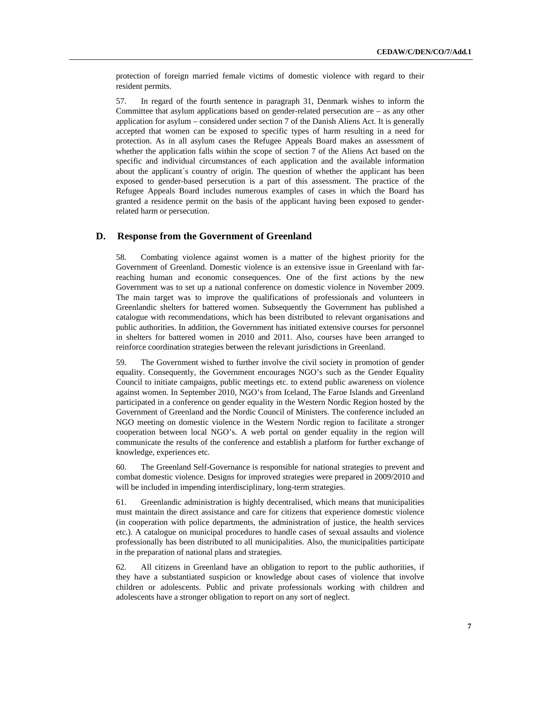protection of foreign married female victims of domestic violence with regard to their resident permits.

57. In regard of the fourth sentence in paragraph 31, Denmark wishes to inform the Committee that asylum applications based on gender-related persecution are – as any other application for asylum – considered under section 7 of the Danish Aliens Act. It is generally accepted that women can be exposed to specific types of harm resulting in a need for protection. As in all asylum cases the Refugee Appeals Board makes an assessment of whether the application falls within the scope of section 7 of the Aliens Act based on the specific and individual circumstances of each application and the available information about the applicant´s country of origin. The question of whether the applicant has been exposed to gender-based persecution is a part of this assessment. The practice of the Refugee Appeals Board includes numerous examples of cases in which the Board has granted a residence permit on the basis of the applicant having been exposed to genderrelated harm or persecution.

# **D. Response from the Government of Greenland**

58. Combating violence against women is a matter of the highest priority for the Government of Greenland. Domestic violence is an extensive issue in Greenland with farreaching human and economic consequences. One of the first actions by the new Government was to set up a national conference on domestic violence in November 2009. The main target was to improve the qualifications of professionals and volunteers in Greenlandic shelters for battered women. Subsequently the Government has published a catalogue with recommendations, which has been distributed to relevant organisations and public authorities. In addition, the Government has initiated extensive courses for personnel in shelters for battered women in 2010 and 2011. Also, courses have been arranged to reinforce coordination strategies between the relevant jurisdictions in Greenland.

59. The Government wished to further involve the civil society in promotion of gender equality. Consequently, the Government encourages NGO's such as the Gender Equality Council to initiate campaigns, public meetings etc. to extend public awareness on violence against women. In September 2010, NGO's from Iceland, The Faroe Islands and Greenland participated in a conference on gender equality in the Western Nordic Region hosted by the Government of Greenland and the Nordic Council of Ministers. The conference included an NGO meeting on domestic violence in the Western Nordic region to facilitate a stronger cooperation between local NGO's. A web portal on gender equality in the region will communicate the results of the conference and establish a platform for further exchange of knowledge, experiences etc.

60. The Greenland Self-Governance is responsible for national strategies to prevent and combat domestic violence. Designs for improved strategies were prepared in 2009/2010 and will be included in impending interdisciplinary, long-term strategies.

61. Greenlandic administration is highly decentralised, which means that municipalities must maintain the direct assistance and care for citizens that experience domestic violence (in cooperation with police departments, the administration of justice, the health services etc.). A catalogue on municipal procedures to handle cases of sexual assaults and violence professionally has been distributed to all municipalities. Also, the municipalities participate in the preparation of national plans and strategies.

62. All citizens in Greenland have an obligation to report to the public authorities, if they have a substantiated suspicion or knowledge about cases of violence that involve children or adolescents. Public and private professionals working with children and adolescents have a stronger obligation to report on any sort of neglect.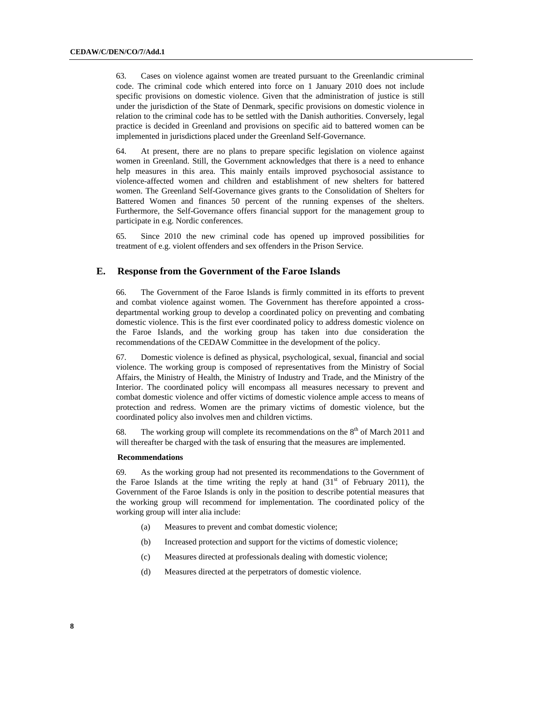63. Cases on violence against women are treated pursuant to the Greenlandic criminal code. The criminal code which entered into force on 1 January 2010 does not include specific provisions on domestic violence. Given that the administration of justice is still under the jurisdiction of the State of Denmark, specific provisions on domestic violence in relation to the criminal code has to be settled with the Danish authorities. Conversely, legal practice is decided in Greenland and provisions on specific aid to battered women can be implemented in jurisdictions placed under the Greenland Self-Governance.

64. At present, there are no plans to prepare specific legislation on violence against women in Greenland. Still, the Government acknowledges that there is a need to enhance help measures in this area. This mainly entails improved psychosocial assistance to violence-affected women and children and establishment of new shelters for battered women. The Greenland Self-Governance gives grants to the Consolidation of Shelters for Battered Women and finances 50 percent of the running expenses of the shelters. Furthermore, the Self-Governance offers financial support for the management group to participate in e.g. Nordic conferences.

65. Since 2010 the new criminal code has opened up improved possibilities for treatment of e.g. violent offenders and sex offenders in the Prison Service.

## **E. Response from the Government of the Faroe Islands**

66. The Government of the Faroe Islands is firmly committed in its efforts to prevent and combat violence against women. The Government has therefore appointed a crossdepartmental working group to develop a coordinated policy on preventing and combating domestic violence. This is the first ever coordinated policy to address domestic violence on the Faroe Islands, and the working group has taken into due consideration the recommendations of the CEDAW Committee in the development of the policy.

67. Domestic violence is defined as physical, psychological, sexual, financial and social violence. The working group is composed of representatives from the Ministry of Social Affairs, the Ministry of Health, the Ministry of Industry and Trade, and the Ministry of the Interior. The coordinated policy will encompass all measures necessary to prevent and combat domestic violence and offer victims of domestic violence ample access to means of protection and redress. Women are the primary victims of domestic violence, but the coordinated policy also involves men and children victims.

68. The working group will complete its recommendations on the  $8<sup>th</sup>$  of March 2011 and will thereafter be charged with the task of ensuring that the measures are implemented.

#### **Recommendations**

69. As the working group had not presented its recommendations to the Government of the Faroe Islands at the time writing the reply at hand  $(31<sup>st</sup>$  of February 2011), the Government of the Faroe Islands is only in the position to describe potential measures that the working group will recommend for implementation. The coordinated policy of the working group will inter alia include:

- (a) Measures to prevent and combat domestic violence;
- (b) Increased protection and support for the victims of domestic violence;
- (c) Measures directed at professionals dealing with domestic violence;
- (d) Measures directed at the perpetrators of domestic violence.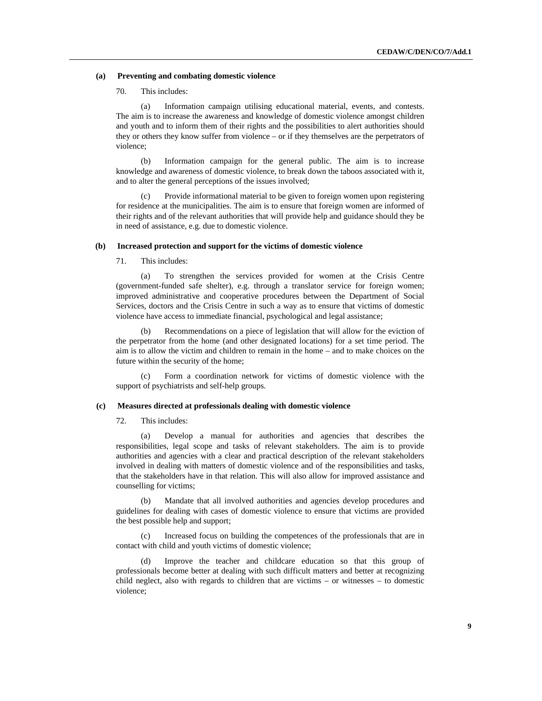#### **(a) Preventing and combating domestic violence**

### 70. This includes:

(a) Information campaign utilising educational material, events, and contests. The aim is to increase the awareness and knowledge of domestic violence amongst children and youth and to inform them of their rights and the possibilities to alert authorities should they or others they know suffer from violence – or if they themselves are the perpetrators of violence;

(b) Information campaign for the general public. The aim is to increase knowledge and awareness of domestic violence, to break down the taboos associated with it, and to alter the general perceptions of the issues involved;

(c) Provide informational material to be given to foreign women upon registering for residence at the municipalities. The aim is to ensure that foreign women are informed of their rights and of the relevant authorities that will provide help and guidance should they be in need of assistance, e.g. due to domestic violence.

#### **(b) Increased protection and support for the victims of domestic violence**

71. This includes:

(a) To strengthen the services provided for women at the Crisis Centre (government-funded safe shelter), e.g. through a translator service for foreign women; improved administrative and cooperative procedures between the Department of Social Services, doctors and the Crisis Centre in such a way as to ensure that victims of domestic violence have access to immediate financial, psychological and legal assistance;

Recommendations on a piece of legislation that will allow for the eviction of the perpetrator from the home (and other designated locations) for a set time period. The aim is to allow the victim and children to remain in the home – and to make choices on the future within the security of the home;

(c) Form a coordination network for victims of domestic violence with the support of psychiatrists and self-help groups.

#### **(c) Measures directed at professionals dealing with domestic violence**

72. This includes:

(a) Develop a manual for authorities and agencies that describes the responsibilities, legal scope and tasks of relevant stakeholders. The aim is to provide authorities and agencies with a clear and practical description of the relevant stakeholders involved in dealing with matters of domestic violence and of the responsibilities and tasks, that the stakeholders have in that relation. This will also allow for improved assistance and counselling for victims;

(b) Mandate that all involved authorities and agencies develop procedures and guidelines for dealing with cases of domestic violence to ensure that victims are provided the best possible help and support;

(c) Increased focus on building the competences of the professionals that are in contact with child and youth victims of domestic violence;

(d) Improve the teacher and childcare education so that this group of professionals become better at dealing with such difficult matters and better at recognizing child neglect, also with regards to children that are victims – or witnesses – to domestic violence;